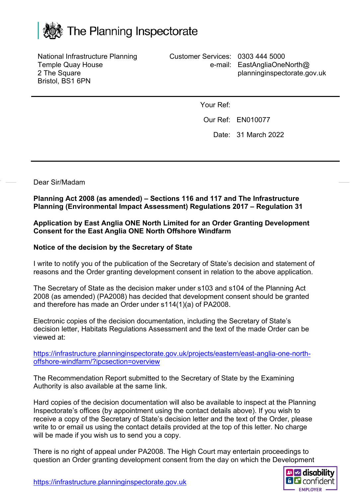

National Infrastructure Planning Temple Quay House 2 The Square Bristol, BS1 6PN

Customer Services: 0303 444 5000 e-mail: EastAngliaOneNorth@ planninginspectorate.gov.uk

Your Ref:

Our Ref: EN010077

Date: 31 March 2022

Dear Sir/Madam

**Planning Act 2008 (as amended) – Sections 116 and 117 and The Infrastructure Planning (Environmental Impact Assessment) Regulations 2017 – Regulation 31**

## **Application by East Anglia ONE North Limited for an Order Granting Development Consent for the East Anglia ONE North Offshore Windfarm**

## **Notice of the decision by the Secretary of State**

I write to notify you of the publication of the Secretary of State's decision and statement of reasons and the Order granting development consent in relation to the above application.

The Secretary of State as the decision maker under s103 and s104 of the Planning Act 2008 (as amended) (PA2008) has decided that development consent should be granted and therefore has made an Order under s114(1)(a) of PA2008.

Electronic copies of the decision documentation, including the Secretary of State's decision letter, Habitats Regulations Assessment and the text of the made Order can be viewed at:

[https://infrastructure.planninginspectorate.gov.uk/projects/eastern/east-anglia-one-north](https://infrastructure.planninginspectorate.gov.uk/projects/eastern/east-anglia-one-north-offshore-windfarm/?ipcsection=overview)[offshore-windfarm/?ipcsection=overview](https://infrastructure.planninginspectorate.gov.uk/projects/eastern/east-anglia-one-north-offshore-windfarm/?ipcsection=overview)

The Recommendation Report submitted to the Secretary of State by the Examining Authority is also available at the same link.

Hard copies of the decision documentation will also be available to inspect at the Planning Inspectorate's offices (by appointment using the contact details above). If you wish to receive a copy of the Secretary of State's decision letter and the text of the Order, please write to or email us using the contact details provided at the top of this letter. No charge will be made if you wish us to send you a copy.

There is no right of appeal under PA2008. The High Court may entertain proceedings to question an Order granting development consent from the day on which the Development